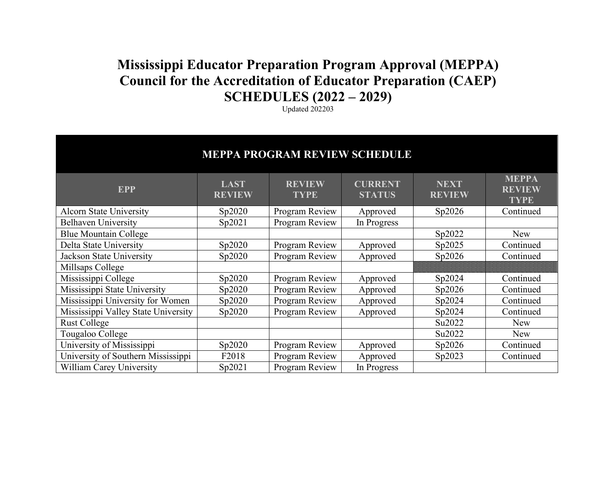## **Mississippi Educator Preparation Program Approval (MEPPA) Council for the Accreditation of Educator Preparation (CAEP) SCHEDULES (2022 – 2029)**

Updated 202203

| <b>MEPPA PROGRAM REVIEW SCHEDULE</b> |                              |                              |                                 |                              |                                              |  |  |  |  |  |
|--------------------------------------|------------------------------|------------------------------|---------------------------------|------------------------------|----------------------------------------------|--|--|--|--|--|
| <b>EPP</b>                           | <b>LAST</b><br><b>REVIEW</b> | <b>REVIEW</b><br><b>TYPE</b> | <b>CURRENT</b><br><b>STATUS</b> | <b>NEXT</b><br><b>REVIEW</b> | <b>MEPPA</b><br><b>REVIEW</b><br><b>TYPE</b> |  |  |  |  |  |
| <b>Alcorn State University</b>       | Sp2020                       | Program Review               | Approved                        | Sp2026                       | Continued                                    |  |  |  |  |  |
| <b>Belhaven University</b>           | Sp2021                       | Program Review               | In Progress                     |                              |                                              |  |  |  |  |  |
| <b>Blue Mountain College</b>         |                              |                              |                                 | Sp2022                       | New                                          |  |  |  |  |  |
| Delta State University               | Sp2020                       | Program Review               | Approved                        | Sp2025                       | Continued                                    |  |  |  |  |  |
| <b>Jackson State University</b>      | Sp2020                       | Program Review               | Approved                        | Sp2026                       | Continued                                    |  |  |  |  |  |
| Millsaps College                     |                              |                              |                                 |                              |                                              |  |  |  |  |  |
| Mississippi College                  | Sp2020                       | Program Review               | Approved                        | Sp2024                       | Continued                                    |  |  |  |  |  |
| Mississippi State University         | Sp2020                       | Program Review               | Approved                        | Sp2026                       | Continued                                    |  |  |  |  |  |
| Mississippi University for Women     | Sp2020                       | Program Review               | Approved                        | Sp2024                       | Continued                                    |  |  |  |  |  |
| Mississippi Valley State University  | Sp2020                       | Program Review               | Approved                        | Sp2024                       | Continued                                    |  |  |  |  |  |
| <b>Rust College</b>                  |                              |                              |                                 | Su2022                       | <b>New</b>                                   |  |  |  |  |  |
| Tougaloo College                     |                              |                              |                                 | Su2022                       | New                                          |  |  |  |  |  |
| University of Mississippi            | Sp2020                       | Program Review               | Approved                        | Sp2026                       | Continued                                    |  |  |  |  |  |
| University of Southern Mississippi   | F2018                        | Program Review               | Approved                        | Sp2023                       | Continued                                    |  |  |  |  |  |
| <b>William Carey University</b>      | Sp2021                       | Program Review               | In Progress                     |                              |                                              |  |  |  |  |  |